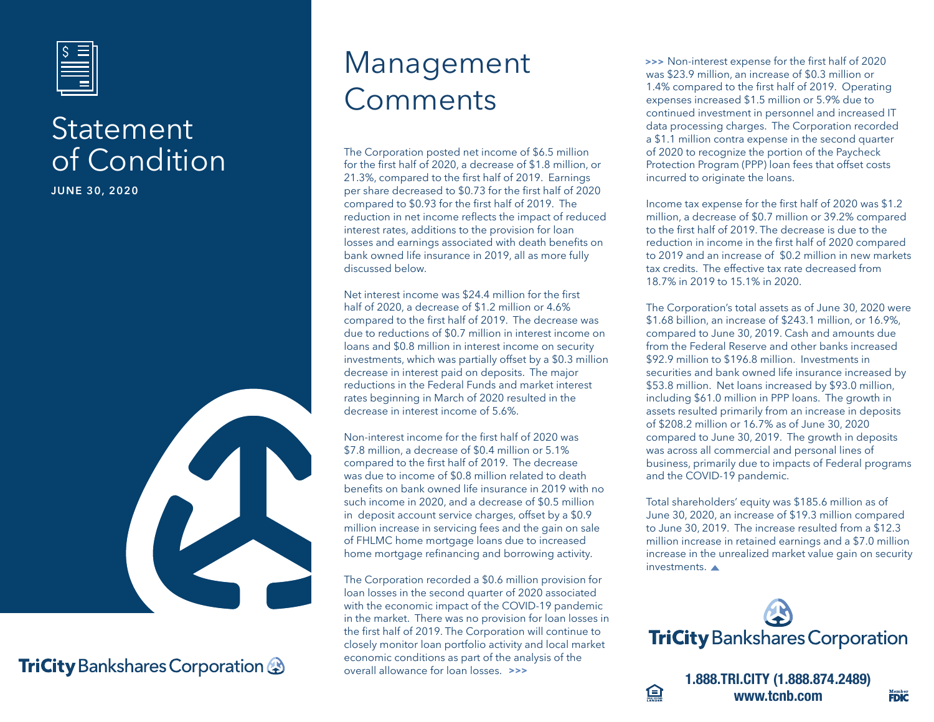

### **Statement** of Condition

**JUNE 30, 2020**



#### **TriCity** Bankshares Corporation **&**

## Management Comments

The Corporation posted net income of \$6.5 million for the first half of 2020, a decrease of \$1.8 million, or 21.3%, compared to the first half of 2019. Earnings per share decreased to \$0.73 for the first half of 2020 compared to \$0.93 for the first half of 2019. The reduction in net income reflects the impact of reduced interest rates, additions to the provision for loan losses and earnings associated with death benefits on bank owned life insurance in 2019, all as more fully discussed below.

Net interest income was \$24.4 million for the first half of 2020, a decrease of \$1.2 million or 4.6% compared to the first half of 2019. The decrease was due to reductions of \$0.7 million in interest income on loans and \$0.8 million in interest income on security investments, which was partially offset by a \$0.3 million decrease in interest paid on deposits. The major reductions in the Federal Funds and market interest rates beginning in March of 2020 resulted in the decrease in interest income of 5.6%.

Non-interest income for the first half of 2020 was \$7.8 million, a decrease of \$0.4 million or 5.1% compared to the first half of 2019. The decrease was due to income of \$0.8 million related to death benefits on bank owned life insurance in 2019 with no such income in 2020, and a decrease of \$0.5 million in deposit account service charges, offset by a \$0.9 million increase in servicing fees and the gain on sale of FHLMC home mortgage loans due to increased home mortgage refinancing and borrowing activity.

The Corporation recorded a \$0.6 million provision for loan losses in the second quarter of 2020 associated with the economic impact of the COVID-19 pandemic in the market. There was no provision for loan losses in the first half of 2019. The Corporation will continue to closely monitor loan portfolio activity and local market economic conditions as part of the analysis of the overall allowance for loan losses. **>>>**

 Non-interest expense for the first half of 2020 **>>>**was \$23.9 million, an increase of \$0.3 million or 1.4% compared to the first half of 2019. Operating expenses increased \$1.5 million or 5.9% due to continued investment in personnel and increased IT data processing charges. The Corporation recorded a \$1.1 million contra expense in the second quarter of 2020 to recognize the portion of the Paycheck Protection Program (PPP) loan fees that offset costs incurred to originate the loans.

Income tax expense for the first half of 2020 was \$1.2 million, a decrease of \$0.7 million or 39.2% compared to the first half of 2019. The decrease is due to the reduction in income in the first half of 2020 compared to 2019 and an increase of \$0.2 million in new markets tax credits. The effective tax rate decreased from 18.7% in 2019 to 15.1% in 2020.

The Corporation's total assets as of June 30, 2020 were \$1.68 billion, an increase of \$243.1 million, or 16.9%, compared to June 30, 2019. Cash and amounts due from the Federal Reserve and other banks increased \$92.9 million to \$196.8 million. Investments in securities and bank owned life insurance increased by \$53.8 million. Net loans increased by \$93.0 million, including \$61.0 million in PPP loans. The growth in assets resulted primarily from an increase in deposits of \$208.2 million or 16.7% as of June 30, 2020 compared to June 30, 2019. The growth in deposits was across all commercial and personal lines of business, primarily due to impacts of Federal programs and the COVID-19 pandemic.

Total shareholders' equity was \$185.6 million as of June 30, 2020, an increase of \$19.3 million compared to June 30, 2019. The increase resulted from a \$12.3 million increase in retained earnings and a \$7.0 million increase in the unrealized market value gain on security investments.





**1.888.TRI.CITY (1.888.874.2489) www.tcnb.com**

Member<br>**FDIC**